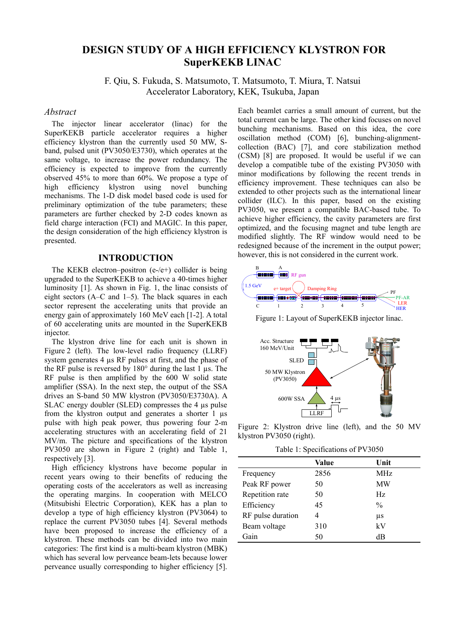# **DESIGN STUDY OF A HIGH EFFICIENCY KLYSTRON FOR SuperKEKB LINAC**

F. Qiu, S. Fukuda, S. Matsumoto, T. Matsumoto, T. Miura, T. Natsui Accelerator Laboratory, KEK, Tsukuba, Japan

## *Abstract*

The injector linear accelerator (linac) for the SuperKEKB particle accelerator requires a higher efficiency klystron than the currently used 50 MW, Sband, pulsed unit (PV3050/E3730), which operates at the same voltage, to increase the power redundancy. The efficiency is expected to improve from the currently observed 45% to more than 60%. We propose a type of high efficiency klystron using novel bunching mechanisms. The 1-D disk model based code is used for preliminary optimization of the tube parameters; these parameters are further checked by 2-D codes known as field charge interaction (FCI) and MAGIC. In this paper, the design consideration of the high efficiency klystron is presented.

### **INTRODUCTION**

The KEKB electron–positron  $(e-(e+))$  collider is being upgraded to the SuperKEKB to achieve a 40-times higher luminosity [1]. As shown in Fig. 1, the linac consists of eight sectors (A–C and 1–5). The black squares in each sector represent the accelerating units that provide an energy gain of approximately 160 MeV each [1-2]. A total of 60 accelerating units are mounted in the SuperKEKB injector.

The klystron drive line for each unit is shown in Figure 2 (left). The low-level radio frequency (LLRF) system generates 4  $\mu$ s RF pulses at first, and the phase of the RF pulse is reversed by 180° during the last 1 µs. The RF pulse is then amplified by the 600 W solid state amplifier (SSA). In the next step, the output of the SSA drives an S-band 50 MW klystron (PV3050/E3730A). A SLAC energy doubler (SLED) compresses the 4  $\mu$ s pulse from the klystron output and generates a shorter 1 µs pulse with high peak power, thus powering four 2-m accelerating structures with an accelerating field of 21 MV/m. The picture and specifications of the klystron PV3050 are shown in Figure 2 (right) and Table 1, respectively [3].

High efficiency klystrons have become popular in recent years owing to their benefits of reducing the operating costs of the accelerators as well as increasing the operating margins. In cooperation with MELCO (Mitsubishi Electric Corporation), KEK has a plan to develop a type of high efficiency klystron (PV3064) to replace the current PV3050 tubes [4]. Several methods have been proposed to increase the efficiency of a klystron. These methods can be divided into two main categories: The first kind is a multi-beam klystron (MBK) which has several low perveance beam-lets because lower perveance usually corresponding to higher efficiency [5].

Each beamlet carries a small amount of current, but the total current can be large. The other kind focuses on novel bunching mechanisms. Based on this idea, the core oscillation method (COM) [6], bunching-alignmentcollection (BAC) [7], and core stabilization method (CSM) [8] are proposed. It would be useful if we can develop a compatible tube of the existing PV3050 with minor modifications by following the recent trends in efficiency improvement. These techniques can also be extended to other projects such as the international linear collider (ILC). In this paper, based on the existing PV3050, we present a compatible BAC-based tube. To achieve higher efficiency, the cavity parameters are first optimized, and the focusing magnet and tube length are modified slightly. The RF window would need to be redesigned because of the increment in the output power; however, this is not considered in the current work.



Figure 1: Layout of SuperKEKB injector linac.



Figure 2: Klystron drive line (left), and the 50 MV klystron PV3050 (right).

Table 1: Specifications of PV3050

|                   | Value | Unit          |
|-------------------|-------|---------------|
| Frequency         | 2856  | MHz           |
| Peak RF power     | 50    | MW            |
| Repetition rate   | 50    | Hz.           |
| Efficiency        | 45    | $\frac{0}{0}$ |
| RF pulse duration | 4     | μs            |
| Beam voltage      | 310   | kV            |
| Gain              | 50    | dB            |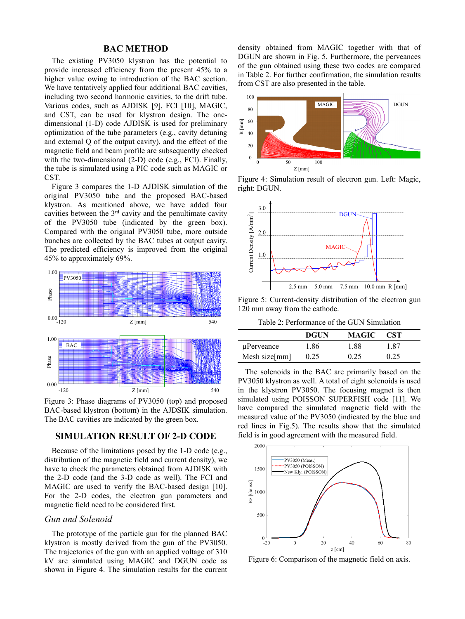## **BAC METHOD**

The existing PV3050 klystron has the potential to provide increased efficiency from the present 45% to a higher value owing to introduction of the BAC section. We have tentatively applied four additional BAC cavities, including two second harmonic cavities, to the drift tube. Various codes, such as AJDISK [9], FCI [10], MAGIC, and CST, can be used for klystron design. The onedimensional (1-D) code AJDISK is used for preliminary optimization of the tube parameters (e.g., cavity detuning and external Q of the output cavity), and the effect of the magnetic field and beam profile are subsequently checked with the two-dimensional (2-D) code (e.g., FCI). Finally, the tube is simulated using a PIC code such as MAGIC or CST.

Figure 3 compares the 1-D AJDISK simulation of the original PV3050 tube and the proposed BAC-based klystron. As mentioned above, we have added four cavities between the  $3<sup>rd</sup>$  cavity and the penultimate cavity of the PV3050 tube (indicated by the green box). Compared with the original PV3050 tube, more outside bunches are collected by the BAC tubes at output cavity. The predicted efficiency is improved from the original 45% to approximately 69%.



Figure 3: Phase diagrams of PV3050 (top) and proposed BAC-based klystron (bottom) in the AJDSIK simulation. The BAC cavities are indicated by the green box.

# **SIMULATION RESULT OF 2-D CODE**

Because of the limitations posed by the 1-D code (e.g., distribution of the magnetic field and current density), we have to check the parameters obtained from AJDISK with the 2-D code (and the 3-D code as well). The FCI and MAGIC are used to verify the BAC-based design [10]. For the 2-D codes, the electron gun parameters and magnetic field need to be considered first.

### *Gun and Solenoid*

The prototype of the particle gun for the planned BAC klystron is mostly derived from the gun of the PV3050. The trajectories of the gun with an applied voltage of 310 kV are simulated using MAGIC and DGUN code as shown in Figure 4. The simulation results for the current density obtained from MAGIC together with that of DGUN are shown in Fig. 5. Furthermore, the perveances of the gun obtained using these two codes are compared in Table 2. For further confirmation, the simulation results from CST are also presented in the table.



Figure 4: Simulation result of electron gun. Left: Magic, right: DGUN.



Figure 5: Current-density distribution of the electron gun 120 mm away from the cathode.

Table 2: Performance of the GUN Simulation

|               | <b>DGUN</b> | MAGIC | <b>CST</b> |
|---------------|-------------|-------|------------|
| uPerveance    | 1.86        | 1.88  | 1.87       |
| Mesh size[mm] | 0.25        | 0.25  | 0.25       |

The solenoids in the BAC are primarily based on the PV3050 klystron as well. A total of eight solenoids is used in the klystron PV3050. The focusing magnet is then simulated using POISSON SUPERFISH code [11]. We have compared the simulated magnetic field with the measured value of the PV3050 (indicated by the blue and red lines in Fig.5). The results show that the simulated field is in good agreement with the measured field.



Figure 6: Comparison of the magnetic field on axis.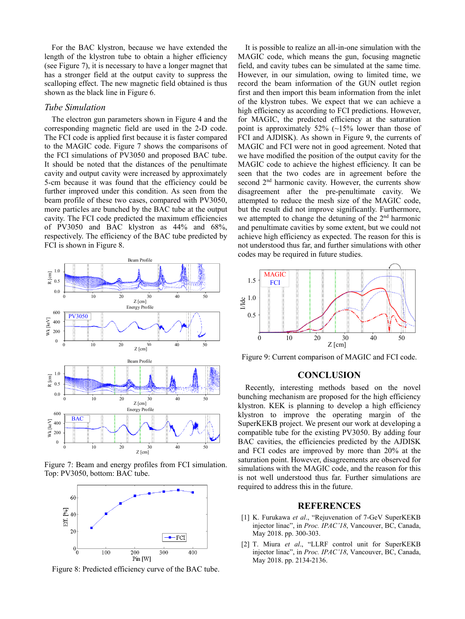For the BAC klystron, because we have extended the length of the klystron tube to obtain a higher efficiency (see Figure 7), it is necessary to have a longer magnet that has a stronger field at the output cavity to suppress the scalloping effect. The new magnetic field obtained is thus shown as the black line in Figure 6.

### *Tube Simulation*

The electron gun parameters shown in Figure 4 and the corresponding magnetic field are used in the 2-D code. The FCI code is applied first because it is faster compared to the MAGIC code. Figure 7 shows the comparisons of the FCI simulations of PV3050 and proposed BAC tube. It should be noted that the distances of the penultimate cavity and output cavity were increased by approximately 5-cm because it was found that the efficiency could be further improved under this condition. As seen from the beam profile of these two cases, compared with PV3050, more particles are bunched by the BAC tube at the output cavity. The FCI code predicted the maximum efficiencies of PV3050 and BAC klystron as 44% and 68%, respectively. The efficiency of the BAC tube predicted by FCI is shown in Figure 8.



Figure 7: Beam and energy profiles from FCI simulation. Top: PV3050, bottom: BAC tube.



Figure 8: Predicted efficiency curve of the BAC tube.

It is possible to realize an all-in-one simulation with the MAGIC code, which means the gun, focusing magnetic field, and cavity tubes can be simulated at the same time. However, in our simulation, owing to limited time, we record the beam information of the GUN outlet region first and then import this beam information from the inlet of the klystron tubes. We expect that we can achieve a high efficiency as according to FCI predictions. However, for MAGIC, the predicted efficiency at the saturation point is approximately 52% (~15% lower than those of FCI and AJDISK). As shown in Figure 9, the currents of MAGIC and FCI were not in good agreement. Noted that we have modified the position of the output cavity for the MAGIC code to achieve the highest efficiency. It can be seen that the two codes are in agreement before the second 2<sup>nd</sup> harmonic cavity. However, the currents show disagreement after the pre-penultimate cavity. We attempted to reduce the mesh size of the MAGIC code, but the result did not improve significantly. Furthermore, we attempted to change the detuning of the  $2<sup>nd</sup>$  harmonic and penultimate cavities by some extent, but we could not achieve high efficiency as expected. The reason for this is not understood thus far, and further simulations with other codes may be required in future studies.



Figure 9: Current comparison of MAGIC and FCI code.

### **CONCLU**S**ION**

Recently, interesting methods based on the novel bunching mechanism are proposed for the high efficiency klystron. KEK is planning to develop a high efficiency klystron to improve the operating margin of the SuperKEKB project. We present our work at developing a compatible tube for the existing PV3050. By adding four BAC cavities, the efficiencies predicted by the AJDISK and FCI codes are improved by more than 20% at the saturation point. However, disagreements are observed for simulations with the MAGIC code, and the reason for this is not well understood thus far. Further simulations are required to address this in the future.

#### **REFERENCES**

- [1] K. Furukawa *et al*., "Rejuvenation of 7-GeV SuperKEKB injector linac", in *Proc. IPAC'18*, Vancouver, BC, Canada, May 2018. pp. 300-303.
- [2] T. Miura *et al*., "LLRF control unit for SuperKEKB injector linac", in *Proc. IPAC'18*, Vancouver, BC, Canada, May 2018. pp. 2134-2136.